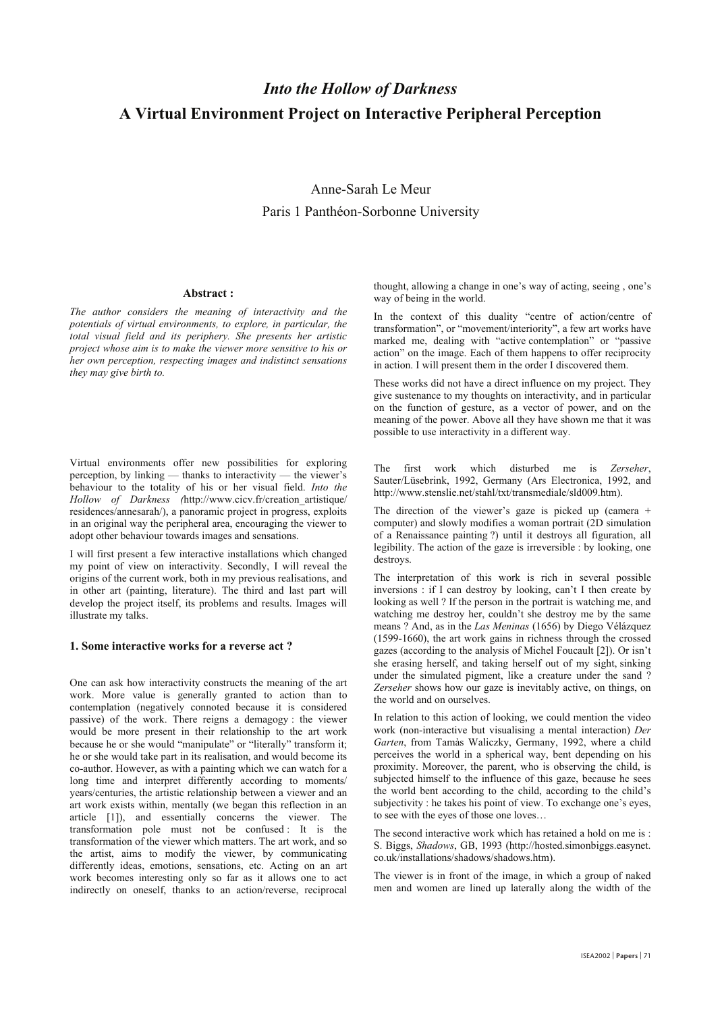# *Into the Hollow of Darkness* **A Virtual Environment Project on Interactive Peripheral Perception**

## Anne-Sarah Le Meur Paris 1 Panthéon-Sorbonne University

#### **Abstract :**

*The author considers the meaning of interactivity and the potentials of virtual environments, to explore, in particular, the total visual field and its periphery. She presents her artistic project whose aim is to make the viewer more sensitive to his or her own perception, respecting images and indistinct sensations they may give birth to.*

Virtual environments offer new possibilities for exploring perception, by linking  $-$  thanks to interactivity  $-$  the viewer's behaviour to the totality of his or her visual field. *Into the Hollow of Darkness (*http://www.cicv.fr/creation\_artistique/ residences/annesarah/), a panoramic project in progress, exploits in an original way the peripheral area, encouraging the viewer to adopt other behaviour towards images and sensations.

I will first present a few interactive installations which changed my point of view on interactivity. Secondly, I will reveal the origins of the current work, both in my previous realisations, and in other art (painting, literature). The third and last part will develop the project itself, its problems and results. Images will illustrate my talks.

#### **1. Some interactive works for a reverse act ?**

One can ask how interactivity constructs the meaning of the art work. More value is generally granted to action than to contemplation (negatively connoted because it is considered passive) of the work. There reigns a demagogy : the viewer would be more present in their relationship to the art work because he or she would "manipulate" or "literally" transform it; he or she would take part in its realisation, and would become its co-author. However, as with a painting which we can watch for a long time and interpret differently according to moments/ years/centuries, the artistic relationship between a viewer and an art work exists within, mentally (we began this reflection in an article [1]), and essentially concerns the viewer. The transformation pole must not be confused : It is the transformation of the viewer which matters. The art work, and so the artist, aims to modify the viewer, by communicating differently ideas, emotions, sensations, etc. Acting on an art work becomes interesting only so far as it allows one to act indirectly on oneself, thanks to an action/reverse, reciprocal

thought, allowing a change in one's way of acting, seeing, one's way of being in the world.

In the context of this duality "centre of action/centre of transformation", or "movement/interiority", a few art works have marked me, dealing with "active contemplation" or "passive" action" on the image. Each of them happens to offer reciprocity in action. I will present them in the order I discovered them.

These works did not have a direct influence on my project. They give sustenance to my thoughts on interactivity, and in particular on the function of gesture, as a vector of power, and on the meaning of the power. Above all they have shown me that it was possible to use interactivity in a different way.

The first work which disturbed me is *Zerseher*, Sauter/Lüsebrink, 1992, Germany (Ars Electronica, 1992, and http://www.stenslie.net/stahl/txt/transmediale/sld009.htm).

The direction of the viewer's gaze is picked up (camera  $+$ computer) and slowly modifies a woman portrait (2D simulation of a Renaissance painting ?) until it destroys all figuration, all legibility. The action of the gaze is irreversible : by looking, one destroys.

The interpretation of this work is rich in several possible inversions : if I can destroy by looking, can't I then create by looking as well ? If the person in the portrait is watching me, and watching me destroy her, couldn't she destroy me by the same means ? And, as in the *Las Meninas* (1656) by Diego Vélázquez (1599-1660), the art work gains in richness through the crossed gazes (according to the analysis of Michel Foucault [2]). Or isn't she erasing herself, and taking herself out of my sight, sinking under the simulated pigment, like a creature under the sand ? *Zerseher* shows how our gaze is inevitably active, on things, on the world and on ourselves.

In relation to this action of looking, we could mention the video work (non-interactive but visualising a mental interaction) *Der Garten*, from Tamàs Waliczky, Germany, 1992, where a child perceives the world in a spherical way, bent depending on his proximity. Moreover, the parent, who is observing the child, is subjected himself to the influence of this gaze, because he sees the world bent according to the child, according to the child's subjectivity : he takes his point of view. To exchange one's eyes, to see with the eyes of those one loves

The second interactive work which has retained a hold on me is : S. Biggs, *Shadows*, GB, 1993 (http://hosted.simonbiggs.easynet. co.uk/installations/shadows/shadows.htm).

The viewer is in front of the image, in which a group of naked men and women are lined up laterally along the width of the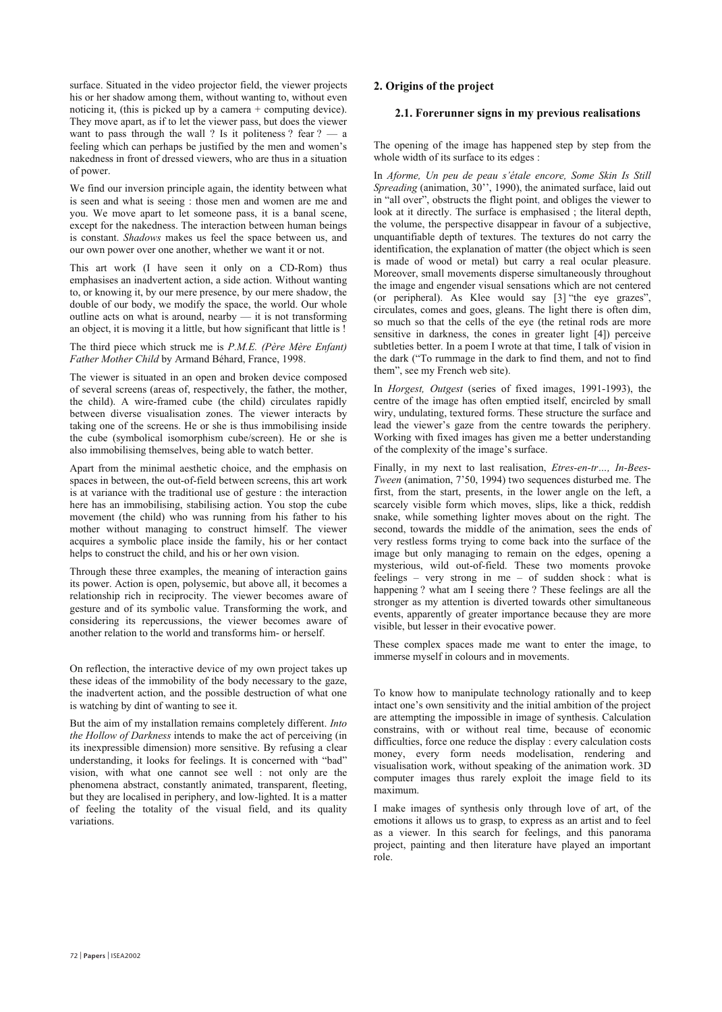surface. Situated in the video projector field, the viewer projects his or her shadow among them, without wanting to, without even noticing it, (this is picked up by a camera + computing device). They move apart, as if to let the viewer pass, but does the viewer want to pass through the wall ? Is it politeness ? fear  $? - a$ feeling which can perhaps be justified by the men and women's nakedness in front of dressed viewers, who are thus in a situation of power.

We find our inversion principle again, the identity between what is seen and what is seeing : those men and women are me and you. We move apart to let someone pass, it is a banal scene, except for the nakedness. The interaction between human beings is constant. *Shadows* makes us feel the space between us, and our own power over one another, whether we want it or not.

This art work (I have seen it only on a CD-Rom) thus emphasises an inadvertent action, a side action. Without wanting to, or knowing it, by our mere presence, by our mere shadow, the double of our body, we modify the space, the world. Our whole outline acts on what is around, nearby  $-$  it is not transforming an object, it is moving it a little, but how significant that little is !

The third piece which struck me is *P.M.E. (Père Mère Enfant) Father Mother Child* by Armand Béhard, France, 1998.

The viewer is situated in an open and broken device composed of several screens (areas of, respectively, the father, the mother, the child). A wire-framed cube (the child) circulates rapidly between diverse visualisation zones. The viewer interacts by taking one of the screens. He or she is thus immobilising inside the cube (symbolical isomorphism cube/screen). He or she is also immobilising themselves, being able to watch better.

Apart from the minimal aesthetic choice, and the emphasis on spaces in between, the out-of-field between screens, this art work is at variance with the traditional use of gesture : the interaction here has an immobilising, stabilising action. You stop the cube movement (the child) who was running from his father to his mother without managing to construct himself. The viewer acquires a symbolic place inside the family, his or her contact helps to construct the child, and his or her own vision.

Through these three examples, the meaning of interaction gains its power. Action is open, polysemic, but above all, it becomes a relationship rich in reciprocity. The viewer becomes aware of gesture and of its symbolic value. Transforming the work, and considering its repercussions, the viewer becomes aware of another relation to the world and transforms him- or herself.

On reflection, the interactive device of my own project takes up these ideas of the immobility of the body necessary to the gaze, the inadvertent action, and the possible destruction of what one is watching by dint of wanting to see it.

But the aim of my installation remains completely different. *Into the Hollow of Darkness* intends to make the act of perceiving (in its inexpressible dimension) more sensitive. By refusing a clear understanding, it looks for feelings. It is concerned with "bad" vision, with what one cannot see well : not only are the phenomena abstract, constantly animated, transparent, fleeting, but they are localised in periphery, and low-lighted. It is a matter of feeling the totality of the visual field, and its quality variations.

### **2. Origins of the project**

#### **2.1. Forerunner signs in my previous realisations**

The opening of the image has happened step by step from the whole width of its surface to its edges :

In *Aforme, Un peu de peau s'étale encore, Some Skin Is Still Spreading* (animation,  $30$ <sup>2</sup>, 1990), the animated surface, laid out in "all over", obstructs the flight point, and obliges the viewer to look at it directly. The surface is emphasised ; the literal depth, the volume, the perspective disappear in favour of a subjective, unquantifiable depth of textures. The textures do not carry the identification, the explanation of matter (the object which is seen is made of wood or metal) but carry a real ocular pleasure. Moreover, small movements disperse simultaneously throughout the image and engender visual sensations which are not centered (or peripheral). As Klee would say  $[3]$  "the eye grazes", circulates, comes and goes, gleans. The light there is often dim, so much so that the cells of the eye (the retinal rods are more sensitive in darkness, the cones in greater light [4]) perceive subtleties better. In a poem I wrote at that time, I talk of vision in the dark ("To rummage in the dark to find them, and not to find them", see my French web site).

In *Horgest, Outgest* (series of fixed images, 1991-1993), the centre of the image has often emptied itself, encircled by small wiry, undulating, textured forms. These structure the surface and lead the viewer's gaze from the centre towards the periphery. Working with fixed images has given me a better understanding of the complexity of the image's surface.

Finally, in my next to last realisation, *Etres-en-tr...*, *In-Bees-Tween* (animation, 7'50, 1994) two sequences disturbed me. The first, from the start, presents, in the lower angle on the left, a scarcely visible form which moves, slips, like a thick, reddish snake, while something lighter moves about on the right. The second, towards the middle of the animation, sees the ends of very restless forms trying to come back into the surface of the image but only managing to remain on the edges, opening a mysterious, wild out-of-field. These two moments provoke feelings  $-$  very strong in me  $-$  of sudden shock : what is happening ? what am I seeing there ? These feelings are all the stronger as my attention is diverted towards other simultaneous events, apparently of greater importance because they are more visible, but lesser in their evocative power.

These complex spaces made me want to enter the image, to immerse myself in colours and in movements.

To know how to manipulate technology rationally and to keep intact one's own sensitivity and the initial ambition of the project are attempting the impossible in image of synthesis. Calculation constrains, with or without real time, because of economic difficulties, force one reduce the display : every calculation costs money, every form needs modelisation, rendering and visualisation work, without speaking of the animation work. 3D computer images thus rarely exploit the image field to its maximum.

I make images of synthesis only through love of art, of the emotions it allows us to grasp, to express as an artist and to feel as a viewer. In this search for feelings, and this panorama project, painting and then literature have played an important role.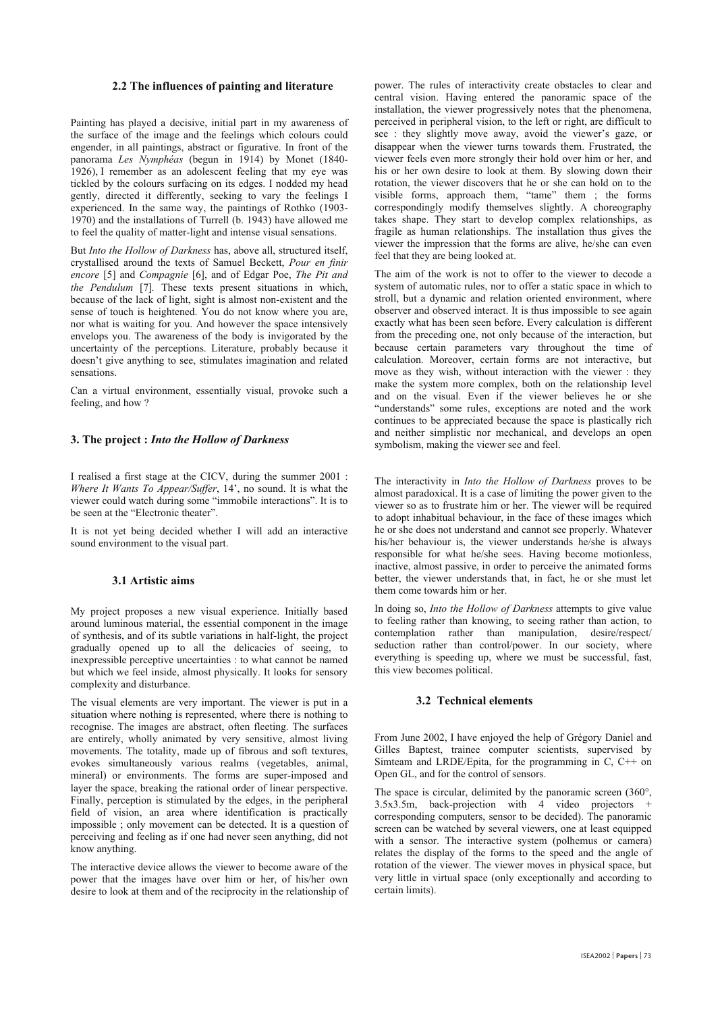#### **2.2 The influences of painting and literature**

Painting has played a decisive, initial part in my awareness of the surface of the image and the feelings which colours could engender, in all paintings, abstract or figurative. In front of the panorama *Les Nymphéas* (begun in 1914) by Monet (1840- 1926), I remember as an adolescent feeling that my eye was tickled by the colours surfacing on its edges. I nodded my head gently, directed it differently, seeking to vary the feelings I experienced. In the same way, the paintings of Rothko (1903- 1970) and the installations of Turrell (b. 1943) have allowed me to feel the quality of matter-light and intense visual sensations.

But *Into the Hollow of Darkness* has, above all, structured itself, crystallised around the texts of Samuel Beckett, *Pour en finir encore* [5] and *Compagnie* [6], and of Edgar Poe, *The Pit and the Pendulum* [7]*.* These texts present situations in which, because of the lack of light, sight is almost non-existent and the sense of touch is heightened. You do not know where you are, nor what is waiting for you. And however the space intensively envelops you. The awareness of the body is invigorated by the uncertainty of the perceptions. Literature, probably because it doesn't give anything to see, stimulates imagination and related sensations.

Can a virtual environment, essentially visual, provoke such a feeling, and how ?

#### **3. The project :** *Into the Hollow of Darkness*

I realised a first stage at the CICV, during the summer 2001 : *Where It Wants To Appear/Suffer*, 14', no sound. It is what the viewer could watch during some "immobile interactions". It is to be seen at the "Electronic theater".

It is not yet being decided whether I will add an interactive sound environment to the visual part.

#### **3.1 Artistic aims**

My project proposes a new visual experience. Initially based around luminous material, the essential component in the image of synthesis, and of its subtle variations in half-light, the project gradually opened up to all the delicacies of seeing, to inexpressible perceptive uncertainties : to what cannot be named but which we feel inside, almost physically. It looks for sensory complexity and disturbance.

The visual elements are very important. The viewer is put in a situation where nothing is represented, where there is nothing to recognise. The images are abstract, often fleeting. The surfaces are entirely, wholly animated by very sensitive, almost living movements. The totality, made up of fibrous and soft textures, evokes simultaneously various realms (vegetables, animal, mineral) or environments. The forms are super-imposed and layer the space, breaking the rational order of linear perspective. Finally, perception is stimulated by the edges, in the peripheral field of vision, an area where identification is practically impossible ; only movement can be detected. It is a question of perceiving and feeling as if one had never seen anything, did not know anything.

The interactive device allows the viewer to become aware of the power that the images have over him or her, of his/her own desire to look at them and of the reciprocity in the relationship of

power. The rules of interactivity create obstacles to clear and central vision. Having entered the panoramic space of the installation, the viewer progressively notes that the phenomena, perceived in peripheral vision, to the left or right, are difficult to see : they slightly move away, avoid the viewer's gaze, or disappear when the viewer turns towards them. Frustrated, the viewer feels even more strongly their hold over him or her, and his or her own desire to look at them. By slowing down their rotation, the viewer discovers that he or she can hold on to the visible forms, approach them, "tame" them ; the forms correspondingly modify themselves slightly. A choreography takes shape. They start to develop complex relationships, as fragile as human relationships. The installation thus gives the viewer the impression that the forms are alive, he/she can even feel that they are being looked at.

The aim of the work is not to offer to the viewer to decode a system of automatic rules, nor to offer a static space in which to stroll, but a dynamic and relation oriented environment, where observer and observed interact. It is thus impossible to see again exactly what has been seen before. Every calculation is different from the preceding one, not only because of the interaction, but because certain parameters vary throughout the time of calculation. Moreover, certain forms are not interactive, but move as they wish, without interaction with the viewer : they make the system more complex, both on the relationship level and on the visual. Even if the viewer believes he or she "understands" some rules, exceptions are noted and the work continues to be appreciated because the space is plastically rich and neither simplistic nor mechanical, and develops an open symbolism, making the viewer see and feel.

The interactivity in *Into the Hollow of Darkness* proves to be almost paradoxical. It is a case of limiting the power given to the viewer so as to frustrate him or her. The viewer will be required to adopt inhabitual behaviour, in the face of these images which he or she does not understand and cannot see properly. Whatever his/her behaviour is, the viewer understands he/she is always responsible for what he/she sees. Having become motionless, inactive, almost passive, in order to perceive the animated forms better, the viewer understands that, in fact, he or she must let them come towards him or her.

In doing so, *Into the Hollow of Darkness* attempts to give value to feeling rather than knowing, to seeing rather than action, to contemplation rather than manipulation, desire/respect/ seduction rather than control/power. In our society, where everything is speeding up, where we must be successful, fast, this view becomes political.

#### **3.2 Technical elements**

From June 2002, I have enjoyed the help of Grégory Daniel and Gilles Baptest, trainee computer scientists, supervised by Simteam and LRDE/Epita, for the programming in  $C$ ,  $C++$  on Open GL, and for the control of sensors.

The space is circular, delimited by the panoramic screen (360°,  $3.5x3.5m$ , back-projection with  $4$  video projectors + corresponding computers, sensor to be decided). The panoramic screen can be watched by several viewers, one at least equipped with a sensor. The interactive system (polhemus or camera) relates the display of the forms to the speed and the angle of rotation of the viewer. The viewer moves in physical space, but very little in virtual space (only exceptionally and according to certain limits).